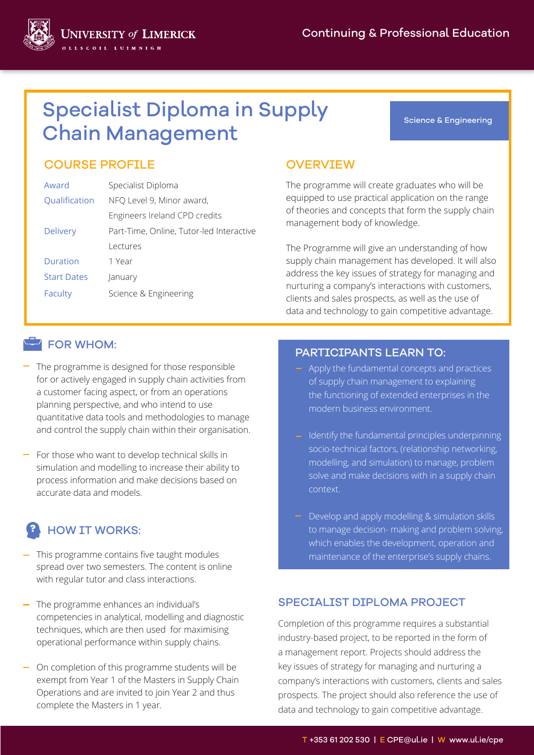

# Specialist Diploma in Supply Chain Management

#### Science & Engineering

## COURSE PROFILE OVERVIEW

| Award              | Specialist Diploma                       |  |
|--------------------|------------------------------------------|--|
| Qualification      | NFQ Level 9, Minor award,                |  |
|                    | Engineers Ireland CPD credits            |  |
| <b>Delivery</b>    | Part-Time, Online, Tutor-led Interactive |  |
|                    | Lectures                                 |  |
| Duration           | 1 Year                                   |  |
| <b>Start Dates</b> | January                                  |  |
| Faculty            | Science & Engineering                    |  |
|                    |                                          |  |

The programme will create graduates who will be equipped to use practical application on the range of theories and concepts that form the supply chain management body of knowledge.

The Programme will give an understanding of how supply chain management has developed. It will also address the key issues of strategy for managing and nurturing a company's interactions with customers, clients and sales prospects, as well as the use of data and technology to gain competitive advantage.

#### FOR WHOM:

- $-$  The programme is designed for those responsible for or actively engaged in supply chain activities from a customer facing aspect, or from an operations planning perspective, and who intend to use quantitative data tools and methodologies to manage and control the supply chain within their organisation.
- For those who want to develop technical skills in simulation and modelling to increase their ability to process information and make decisions based on accurate data and models.

## HOW IT WORKS:

- This programme contains five taught modules spread over two semesters. The content is online with regular tutor and class interactions.
- The programme enhances an individual's competencies in analytical, modelling and diagnostic techniques, which are then used for maximising operational performance within supply chains.
- On completion of this programme students will be exempt from Year 1 of the Masters in Supply Chain Operations and are invited to join Year 2 and thus complete the Masters in 1 year.

### PARTICIPANTS LEARN TO:

- Apply the fundamental concepts and practices of supply chain management to explaining the functioning of extended enterprises in the modern business environment.
- Identify the fundamental principles underpinning socio-technical factors, (relationship networking, modelling, and simulation) to manage, problem solve and make decisions with in a supply chain context.
- Develop and apply modelling & simulation skills to manage decision- making and problem solving, which enables the development, operation and maintenance of the enterprise's supply chains.

#### SPECIALIST DIPLOMA PROJECT

Completion of this programme requires a substantial industry-based project, to be reported in the form of a management report. Projects should address the key issues of strategy for managing and nurturing a company's interactions with customers, clients and sales prospects. The project should also reference the use of data and technology to gain competitive advantage.